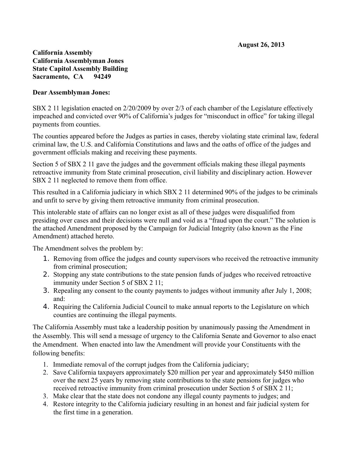## **California Assembly California Assemblyman Jones State Capitol Assembly Building Sacramento, CA 94249**

## **Dear Assemblyman Jones:**

SBX 2 11 legislation enacted on 2/20/2009 by over 2/3 of each chamber of the Legislature effectively impeached and convicted over 90% of California's judges for "misconduct in office" for taking illegal payments from counties.

The counties appeared before the Judges as parties in cases, thereby violating state criminal law, federal criminal law, the U.S. and California Constitutions and laws and the oaths of office of the judges and government officials making and receiving these payments.

Section 5 of SBX 2 11 gave the judges and the government officials making these illegal payments retroactive immunity from State criminal prosecution, civil liability and disciplinary action. However SBX 2 11 neglected to remove them from office.

This resulted in a California judiciary in which SBX 2 11 determined 90% of the judges to be criminals and unfit to serve by giving them retroactive immunity from criminal prosecution.

This intolerable state of affairs can no longer exist as all of these judges were disqualified from presiding over cases and their decisions were null and void as a "fraud upon the court." The solution is the attached Amendment proposed by the Campaign for Judicial Integrity (also known as the Fine Amendment) attached hereto.

The Amendment solves the problem by:

- 1. Removing from office the judges and county supervisors who received the retroactive immunity from criminal prosecution;
- 2. Stopping any state contributions to the state pension funds of judges who received retroactive immunity under Section 5 of SBX 2 11;
- 3. Repealing any consent to the county payments to judges without immunity after July 1, 2008; and:
- 4. Requiring the California Judicial Council to make annual reports to the Legislature on which counties are continuing the illegal payments.

The California Assembly must take a leadership position by unanimously passing the Amendment in the Assembly. This will send a message of urgency to the California Senate and Governor to also enact the Amendment. When enacted into law the Amendment will provide your Constituents with the following benefits:

- 1. Immediate removal of the corrupt judges from the California judiciary;
- 2. Save California taxpayers approximately \$20 million per year and approximately \$450 million over the next 25 years by removing state contributions to the state pensions for judges who received retroactive immunity from criminal prosecution under Section 5 of SBX 2 11;
- 3. Make clear that the state does not condone any illegal county payments to judges; and
- 4. Restore integrity to the California judiciary resulting in an honest and fair judicial system for the first time in a generation.